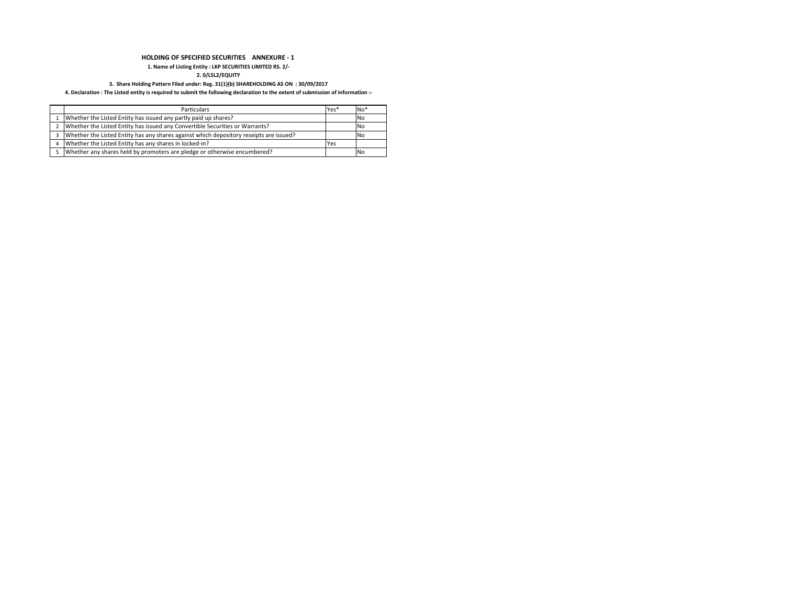## HOLDING OF SPECIFIED SECURITIES ANNEXURE - 1

### 1. Name of Listing Entity : LKP SECURITIES LIMITED RS. 2/-

2. 0/LSL2/EQUITY

### 3. Share Holding Pattern Filed under: Reg. 31(1)(b) SHAREHOLDING AS ON : 30/09/2017

### 4. Declaration : The Listed entity is required to submit the following declaration to the extent of submission of information :-

| <b>Particulars</b>                                                                     | Yes* | $No*$ |
|----------------------------------------------------------------------------------------|------|-------|
| Whether the Listed Entity has issued any partly paid up shares?                        |      | No    |
| Whether the Listed Entity has issued any Convertible Securities or Warrants?           |      | No    |
| Whether the Listed Entity has any shares against which depository reseipts are issued? |      | No    |
| Whether the Listed Entity has any shares in locked-in?                                 | Yes  |       |
| Whether any shares held by promoters are pledge or otherwise encumbered?               |      | No    |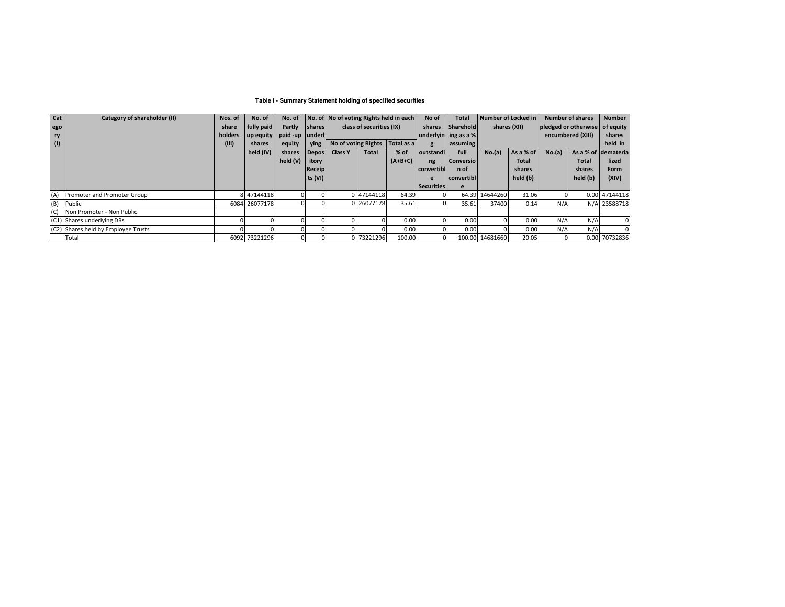### **Table I - Summary Statement holding of specified securities**

| Cat I | Category of shareholder (II)        | Nos. of | No. of        | No. of        |               |                | No. of No of voting Rights held in each |            | No of                | Total             | Number of Locked in |              | <b>Number of shares</b>        |              | <b>Number</b>       |
|-------|-------------------------------------|---------|---------------|---------------|---------------|----------------|-----------------------------------------|------------|----------------------|-------------------|---------------------|--------------|--------------------------------|--------------|---------------------|
| ego   |                                     | share   | fully paid    | Partly        | <b>Shares</b> |                | class of securities (IX)                |            | shares               | <b>Sharehold</b>  |                     | shares (XII) | pledged or otherwise of equity |              |                     |
| ry    |                                     | holders | up equity     | paid-up under |               |                |                                         |            | underlyin ing as a % |                   |                     |              | encumbered (XIII)              |              | shares              |
| (1)   |                                     | (III)   | shares        | equity        | ying          |                | No of voting Rights                     | Total as a |                      | assuming          |                     |              |                                |              | held in             |
|       |                                     |         | held (IV)     | shares        | <b>Depos</b>  | <b>Class Y</b> | <b>Total</b>                            | $%$ of     | outstandi            | full              | No.(a)              | As a % of    | No.(a)                         |              | As a % of demateria |
|       |                                     |         |               | held (V)      | itory         |                |                                         | $(A+B+C)$  | ng                   | <b>Conversio</b>  |                     | <b>Total</b> |                                | <b>Total</b> | lized               |
|       |                                     |         |               |               | Receip        |                |                                         |            | convertibl           | n of              |                     | shares       |                                | shares       | Form                |
|       |                                     |         |               |               | ts (VI)       |                |                                         |            | e                    | <b>convertibl</b> |                     | held (b)     |                                | held (b)     | (XIV)               |
|       |                                     |         |               |               |               |                |                                         |            | <b>Securities</b>    |                   |                     |              |                                |              |                     |
|       | (A) Promoter and Promoter Group     |         | 8 47144118    |               |               |                | 0 47144118                              | 64.39      |                      |                   | 64.39 14644260      | 31.06        |                                |              | 0.00 47144118       |
| (B)   | Public                              |         | 6084 26077178 |               |               |                | 0 26077178                              | 35.61      |                      | 35.61             | 37400               | 0.14         | N/A                            |              | N/A 23588718        |
| (C)   | Non Promoter - Non Public           |         |               |               |               |                |                                         |            |                      |                   |                     |              |                                |              |                     |
|       | (C1) Shares underlying DRs          |         |               |               |               |                |                                         | 0.00       |                      | 0.00              |                     | 0.00         | N/A                            | N/A          | 0                   |
|       | (C2) Shares held by Employee Trusts |         |               |               |               |                |                                         | 0.00       |                      | 0.00              |                     | 0.00         | N/A                            | N/A          |                     |
|       | Total                               |         | 6092 73221296 |               |               |                | 0 73221296                              | 100.00     |                      |                   | 100.00 14681660     | 20.05        |                                |              | 0.00 70732836       |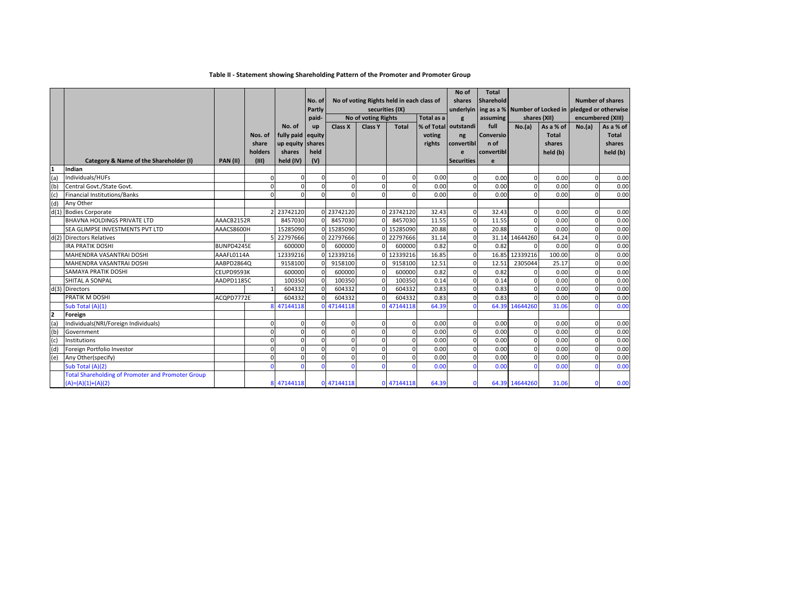## Table II - Statement showing Shareholding Pattern of the Promoter and Promoter Group

|                | Category & Name of the Shareholder (I)                                          | <b>PAN (II)</b> | Nos. of<br>share<br>holders<br>(III) | No. of<br>fully paid equity<br>up equity shares<br>shares<br>held (IV) | No. of<br>Partly<br>paid-<br>up<br>held<br>(V) | Class X    | securities (IX)<br><b>No of voting Rights</b><br><b>Class Y</b> | No of voting Rights held in each class of<br><b>Total</b> | Total as a<br>voting<br>rights | No of<br>shares<br>$\mathbf{g}$<br>% of Total outstandi<br>ng<br>convertibl<br>e<br><b>Securities</b> | <b>Total</b><br><b>Sharehold</b><br>underlyin ing as a % Number of Locked in pledged or otherwise<br>assuming<br>full<br><b>Conversio</b><br>n of<br>convertibl<br>e | shares (XII)<br>No.(a) | As a % of<br><b>Total</b><br>shares<br>held (b) | <b>Number of shares</b><br>No.(a) | encumbered (XIII)<br>As a % of<br>Total<br>shares<br>held (b) |
|----------------|---------------------------------------------------------------------------------|-----------------|--------------------------------------|------------------------------------------------------------------------|------------------------------------------------|------------|-----------------------------------------------------------------|-----------------------------------------------------------|--------------------------------|-------------------------------------------------------------------------------------------------------|----------------------------------------------------------------------------------------------------------------------------------------------------------------------|------------------------|-------------------------------------------------|-----------------------------------|---------------------------------------------------------------|
|                | Indian                                                                          |                 |                                      |                                                                        |                                                |            |                                                                 |                                                           |                                |                                                                                                       |                                                                                                                                                                      |                        |                                                 |                                   |                                                               |
| (a)            | Individuals/HUFs                                                                |                 | $\mathbf 0$                          | $\Omega$                                                               | $\Omega$                                       | U          | $\Omega$                                                        |                                                           | 0.00                           | $\Omega$                                                                                              | 0.00                                                                                                                                                                 | $\mathbf 0$            | 0.00                                            | $\Omega$                          | 0.00                                                          |
| (b)            | Central Govt./State Govt.                                                       |                 | $\mathbf 0$                          | $\Omega$                                                               | $\Omega$                                       |            | $\Omega$                                                        |                                                           | 0.00                           | $\Omega$                                                                                              | 0.00                                                                                                                                                                 | $\mathbf 0$            | 0.00                                            | $\Omega$                          | 0.00                                                          |
| (c)            | Financial Institutions/Banks                                                    |                 | $\Omega$                             | $\Omega$                                                               | $\Omega$                                       | $\Omega$   | $\Omega$                                                        | $\Omega$                                                  | 0.00                           | $\Omega$                                                                                              | 0.00                                                                                                                                                                 | $\mathbf 0$            | 0.00                                            | $\Omega$                          | 0.00                                                          |
| (d)            | Any Other                                                                       |                 |                                      |                                                                        |                                                |            |                                                                 |                                                           |                                |                                                                                                       |                                                                                                                                                                      |                        |                                                 |                                   |                                                               |
|                | d(1) Bodies Corporate                                                           |                 |                                      | 2 23742120                                                             |                                                | 0 23742120 |                                                                 | 0 23742120                                                | 32.43                          | $\Omega$                                                                                              | 32.43                                                                                                                                                                | $\mathbf 0$            | 0.00                                            | $\Omega$                          | 0.00                                                          |
|                | <b>BHAVNA HOLDINGS PRIVATE LTD</b>                                              | AAACB2152R      |                                      | 8457030                                                                |                                                | 8457030    |                                                                 | 8457030                                                   | 11.55                          | $\Omega$                                                                                              | 11.55                                                                                                                                                                | $\mathbf{0}$           | 0.00                                            | $\Omega$                          | 0.00                                                          |
|                | SEA GLIMPSE INVESTMENTS PVT LTD                                                 | AAACS8600H      |                                      | 15285090                                                               |                                                | 0 15285090 |                                                                 | 15285090                                                  | 20.88                          | $\Omega$                                                                                              | 20.88                                                                                                                                                                | $\mathbf{0}$           | 0.00                                            | $\Omega$                          | 0.00                                                          |
|                | d(2) Directors Relatives                                                        |                 |                                      | 5 22797666                                                             |                                                | 0 22797666 |                                                                 | 0 22797666                                                | 31.14                          | $\Omega$                                                                                              |                                                                                                                                                                      | 31.14 14644260         | 64.24                                           | $\Omega$                          | 0.00                                                          |
|                | <b>IRA PRATIK DOSHI</b>                                                         | BUNPD4245E      |                                      | 600000                                                                 |                                                | 600000     | $\Omega$                                                        | 600000                                                    | 0.82                           | $\Omega$                                                                                              | 0.82                                                                                                                                                                 | $\Omega$               | 0.00                                            | $\Omega$                          | 0.00                                                          |
|                | MAHENDRA VASANTRAI DOSHI                                                        | AAAFL0114A      |                                      | 12339216                                                               |                                                | 12339216   | $\cap$                                                          | 12339216                                                  | 16.85                          | $\Omega$                                                                                              | 16.85                                                                                                                                                                | 12339216               | 100.00                                          | $\Omega$                          | 0.00                                                          |
|                | MAHENDRA VASANTRAI DOSHI                                                        | AABPD2864Q      |                                      | 9158100                                                                |                                                | 9158100    | $\Omega$                                                        | 9158100                                                   | 12.51                          | $\Omega$                                                                                              | 12.51                                                                                                                                                                | 2305044                | 25.17                                           | $\Omega$                          | 0.00                                                          |
|                | <b>SAMAYA PRATIK DOSHI</b>                                                      | CEUPD9593K      |                                      | 600000                                                                 |                                                | 600000     | $\Omega$                                                        | 600000                                                    | 0.82                           | $\Omega$                                                                                              | 0.82                                                                                                                                                                 | 0                      | 0.00                                            | $\Omega$                          | 0.00                                                          |
|                | SHITAL A SONPAL                                                                 | AADPD1185C      |                                      | 100350                                                                 |                                                | 100350     |                                                                 | 100350                                                    | 0.14                           | $\Omega$                                                                                              | 0.14                                                                                                                                                                 | $\mathbf 0$            | 0.00                                            | $\Omega$                          | 0.00                                                          |
|                | d(3) Directors                                                                  |                 |                                      | 604332                                                                 |                                                | 604332     |                                                                 | 604332                                                    | 0.83                           | $\Omega$                                                                                              | 0.83                                                                                                                                                                 | $\mathbf 0$            | 0.00                                            | $\Omega$                          | 0.00                                                          |
|                | PRATIK M DOSHI                                                                  | ACQPD7772E      |                                      | 604332                                                                 |                                                | 604332     |                                                                 | 604332                                                    | 0.83                           | $\Omega$                                                                                              | 0.83                                                                                                                                                                 | $\Omega$               | 0.00                                            | $\Omega$                          | 0.00                                                          |
|                | Sub Total (A)(1)                                                                |                 |                                      | 8 47144118                                                             |                                                | 47144118   |                                                                 | 0 47144118                                                | 64.39                          | $\Omega$                                                                                              |                                                                                                                                                                      | 64.39 14644260         | 31.06                                           | $\Omega$                          | 0.00                                                          |
| $\overline{2}$ | Foreign                                                                         |                 |                                      |                                                                        |                                                |            |                                                                 |                                                           |                                |                                                                                                       |                                                                                                                                                                      |                        |                                                 |                                   |                                                               |
| (a)            | Individuals(NRI/Foreign Individuals)                                            |                 | $\mathbf 0$                          | $\mathbf 0$                                                            | $\mathbf 0$                                    | ŋ          | $\Omega$                                                        | $\Omega$                                                  | 0.00                           | $\Omega$                                                                                              | 0.00                                                                                                                                                                 | $\mathbf{0}$           | 0.00                                            | $\Omega$                          | 0.00                                                          |
| (b)            | Government                                                                      |                 | $\mathbf 0$                          | $\Omega$                                                               | $\Omega$                                       | $\Omega$   | $\Omega$                                                        |                                                           | 0.00                           | $\Omega$                                                                                              | 0.00                                                                                                                                                                 | $\mathbf 0$            | 0.00                                            | $\Omega$                          | 0.00                                                          |
| (c)            | Institutions                                                                    |                 | $\mathbf 0$                          | $\mathbf 0$                                                            | $\Omega$                                       | $\Omega$   | $\Omega$                                                        | $\Omega$                                                  | 0.00                           | $\Omega$                                                                                              | 0.00                                                                                                                                                                 | $\mathbf{0}$           | 0.00                                            | $\overline{0}$                    | 0.00                                                          |
| (d)            | Foreign Portfolio Investor                                                      |                 | $\mathbf 0$                          | $\Omega$                                                               | $\Omega$                                       | $\Omega$   | $\Omega$                                                        | $\Omega$                                                  | 0.00                           | $\mathbf 0$                                                                                           | 0.00                                                                                                                                                                 | $\mathbf{0}$           | 0.00                                            | $\overline{0}$                    | 0.00                                                          |
| (e)            | Any Other(specify)                                                              |                 | $\mathbf 0$                          | $\Omega$                                                               | $\Omega$                                       |            | $\Omega$                                                        | $\Omega$                                                  | 0.00                           | $\Omega$                                                                                              | 0.00                                                                                                                                                                 | $\mathbf{0}$           | 0.00                                            | $\Omega$                          | 0.00                                                          |
|                | Sub Total (A)(2)                                                                |                 | $\Omega$                             | n                                                                      |                                                |            | $\Omega$                                                        |                                                           | 0.00                           | $\Omega$                                                                                              | 0.00                                                                                                                                                                 | $\Omega$               | 0.00                                            | $\Omega$                          | 0.00                                                          |
|                | <b>Total Shareholding of Promoter and Promoter Group</b><br>$(A)=(A)(1)+(A)(2)$ |                 |                                      | 8 47144118                                                             |                                                | 0 47144118 |                                                                 | 0 47144118                                                | 64.39                          | $\Omega$                                                                                              |                                                                                                                                                                      | 64.39 14644260         | 31.06                                           | $\Omega$                          | 0.00                                                          |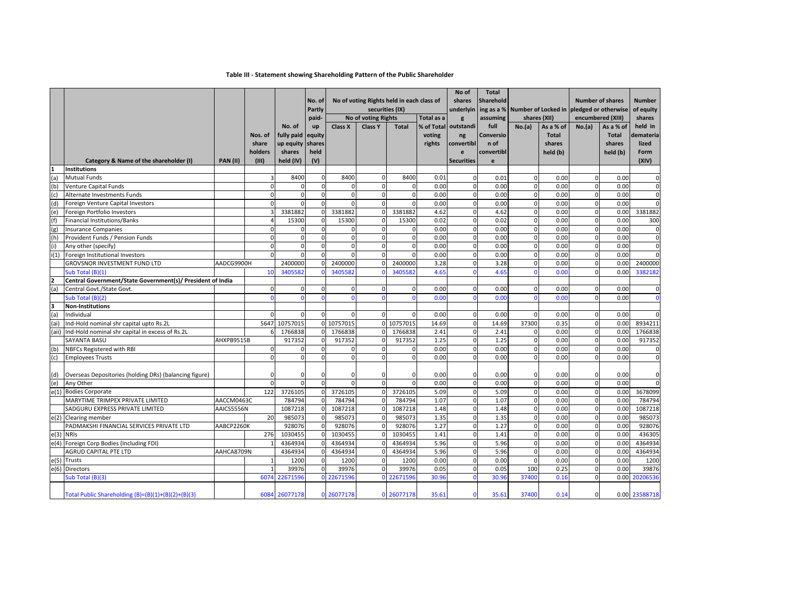## Table III - Statement showing Shareholding Pattern of the Public Shareholder

|                |                                                            |                 |             |               | No. of<br>Partly | No of voting Rights held in each class of<br>securities (IX) |                                       |              |                          | No of<br>shares<br>underlyin | <b>Total</b><br><b>Sharehold</b> | ing as a % Number of Locked in pledged or otherwise |              | <b>Number of shares</b>     |              | <b>Number</b><br>of equity |
|----------------|------------------------------------------------------------|-----------------|-------------|---------------|------------------|--------------------------------------------------------------|---------------------------------------|--------------|--------------------------|------------------------------|----------------------------------|-----------------------------------------------------|--------------|-----------------------------|--------------|----------------------------|
|                |                                                            |                 |             | No. of        | paid-<br>up      | Class X                                                      | No of voting Rights<br><b>Class Y</b> | <b>Total</b> | Total as a<br>% of Total | g<br>outstandi               | assuming<br>full                 | shares (XII)<br>No.(a)                              | As a % of    | encumbered (XIII)<br>No.(a) | As a % of    | shares<br>held in          |
|                |                                                            |                 | Nos. of     | fully paid    | equity           |                                                              |                                       |              | voting                   | ng                           | Conversio                        |                                                     | <b>Total</b> |                             | <b>Total</b> | demateria                  |
|                |                                                            |                 | share       | up equity     | shares           |                                                              |                                       |              | rights                   | convertibl                   | n of                             |                                                     | shares       |                             | shares       | lized                      |
|                |                                                            |                 | holders     | shares        | held             |                                                              |                                       |              |                          | e                            | convertibl                       |                                                     | held (b)     |                             | held (b)     | Form                       |
|                | Category & Name of the shareholder (I)                     | <b>PAN (II)</b> | (III)       | held (IV)     | (V)              |                                                              |                                       |              |                          | <b>Securities</b>            | e                                |                                                     |              |                             |              | (XIV)                      |
| 1              | <b>Institutions</b>                                        |                 |             |               |                  |                                                              |                                       |              |                          |                              |                                  |                                                     |              |                             |              |                            |
| (a)            | <b>Mutual Funds</b>                                        |                 | 3           | 8400          | $\mathbf 0$      | 8400                                                         | $\mathbf 0$                           | 8400         | 0.01                     | 0                            | 0.01                             | $\mathbf{0}$                                        | 0.00         | $\mathbf{0}$                | 0.00         | $\mathbf 0$                |
| (b)            | Venture Capital Funds                                      |                 | $\Omega$    | $\Omega$      | $\mathbf 0$      | $\Omega$                                                     | $\Omega$                              | $\Omega$     | 0.00                     | $\Omega$                     | 0.00                             | $\Omega$                                            | 0.00         | $\Omega$                    | 0.00         | $\mathbf 0$                |
| (c)            | Alternate Investments Funds                                |                 | $\mathbf 0$ | $\Omega$      | $\mathbf{0}$     | $\mathbf 0$                                                  | $\mathbf 0$                           | $\Omega$     | 0.00                     | $\mathbf 0$                  | 0.00                             | $\mathbf{0}$                                        | 0.00         | $\mathbf{0}$                | 0.00         | $\mathbf 0$                |
| (d)            | Foreign Venture Capital Investors                          |                 | $\mathbf 0$ | $\Omega$      | $\mathbf{0}$     | $\Omega$                                                     | $\mathbf 0$                           | $\Omega$     | 0.00                     | $\Omega$                     | 0.00                             | $\mathbf 0$                                         | 0.00         | $\mathbf 0$                 | 0.00         | $\mathbf 0$                |
| (e)            | Foreign Portfolio Investors                                |                 |             | 3381882       | $\overline{0}$   | 3381882                                                      | $\overline{0}$                        | 3381882      | 4.62                     | $\Omega$                     | 4.62                             | $\mathbf 0$                                         | 0.00         | $\Omega$                    | 0.00         | 3381882                    |
| (f)            | Financial Institutions/Banks                               |                 |             | 15300         | $\overline{0}$   | 15300                                                        | $\Omega$                              | 15300        | 0.02                     | $\Omega$                     | 0.02                             | $\overline{0}$                                      | 0.00         | $\Omega$                    | 0.00         | 300                        |
| (g)            | <b>Insurance Companies</b>                                 |                 | $\Omega$    |               | $\mathbf{0}$     |                                                              | $\Omega$                              |              | 0.00                     | $\Omega$                     | 0.00                             | $\mathbf{0}$                                        | 0.00         | $\mathbf 0$                 | 0.00         | $\mathbf 0$                |
| (h)            | Provident Funds / Pension Funds                            |                 | $\mathbf 0$ |               | $\mathbf 0$      | $\Omega$                                                     | $\mathbf 0$                           | $\Omega$     | 0.00                     |                              | 0.00                             | $\mathbf{0}$                                        | 0.00         | $\Omega$                    | 0.00         | $\mathbf 0$                |
| (i)            | Any other (specify)                                        |                 | $\mathbf 0$ | $\Omega$      | $\mathbf{0}$     | $\Omega$                                                     | $\mathbf 0$                           | $\Omega$     | 0.00                     | $\mathbf 0$                  | 0.00                             | $\mathbf 0$                                         | 0.00         | $\mathbf 0$                 | 0.00         | $\mathbf 0$                |
| i(1)           | Foreign Institutional Investors                            |                 | $\Omega$    | $\Omega$      | $\overline{0}$   | U                                                            | $\mathbf 0$                           | $\Omega$     | 0.00                     | $\mathbf 0$                  | 0.00                             | $\overline{0}$                                      | 0.00         | $\overline{0}$              | 0.00         | $\Omega$                   |
|                | <b>GROVSNOR INVESTMENT FUND LTD</b>                        | AADCG9900H      |             | 2400000       | $\overline{0}$   | 2400000                                                      | $\mathbf 0$                           | 2400000      | 3.28                     | $\mathbf{0}$                 | 3.28                             | $\mathbf 0$                                         | 0.00         | $\mathbf{0}$                | 0.00         | 2400000                    |
|                | Sub Total (B)(1)                                           |                 | 10          | 3405582       |                  | 340558                                                       | $\Omega$                              | 3405582      | 4.65                     | $\Omega$                     | 4.65                             | $\Omega$                                            | 0.00         | $\Omega$                    | 0.00         | 3382182                    |
| $\overline{2}$ | Central Government/State Government(s)/ President of India |                 |             |               |                  |                                                              |                                       |              |                          |                              |                                  |                                                     |              |                             |              |                            |
| (a)            | Central Govt./State Govt.                                  |                 | $\mathbf 0$ | $\Omega$      | $\mathbf 0$      | $\Omega$                                                     | $\Omega$                              | $\Omega$     | 0.00                     | $\Omega$                     | 0.00                             | $\mathbf 0$                                         | 0.00         | $\Omega$                    | 0.00         | $\mathbf 0$                |
|                | Sub Total (B)(2)                                           |                 | $\Omega$    |               | $\Omega$         | $\Omega$                                                     | $\Omega$                              | $\Omega$     | 0.00                     | $\Omega$                     | 0.00                             | $\Omega$                                            | 0.00         | $\mathbf 0$                 | 0.00         | $\mathbf 0$                |
| æ,             | <b>Non-Institutions</b>                                    |                 |             |               |                  |                                                              |                                       |              |                          |                              |                                  |                                                     |              |                             |              |                            |
| (a)            | Individual                                                 |                 | $\Omega$    |               | $\overline{0}$   |                                                              | $\mathbf 0$                           | O            | 0.00                     |                              | 0.00                             | $\mathbf{0}$                                        | 0.00         | $\Omega$                    | 0.00         | $\Omega$                   |
| (ai)           | Ind-Hold nominal shr capital upto Rs.2L                    |                 | 5647        | 10757015      |                  | 0 10757015                                                   | $\mathbf 0$                           | 10757015     | 14.69                    |                              | 14.69                            | 37300                                               | 0.35         | $\Omega$                    | 0.00         | 8934211                    |
| (aii)          | Ind-Hold nominal shr capital in excess of Rs.2L            |                 | 6           | 1766838       |                  | 1766838                                                      | $\Omega$                              | 1766838      | 2.41                     | $\Omega$                     | 2.41                             | $\mathbf 0$                                         | 0.00         | $\mathbf 0$                 | 0.00         | 1766838                    |
|                | SAYANTA BASU                                               | AHXPB9515B      |             | 917352        | $\overline{0}$   | 917352                                                       | $\mathbf 0$                           | 917352       | 1.25                     | $\mathbf{0}$                 | 1.25                             | $\overline{0}$                                      | 0.00         | $\mathbf{0}$                | 0.00         | 917352                     |
| (b)            | NBFCs Registered with RBI                                  |                 | $\mathbf 0$ | $\mathbf{0}$  | $\mathbf 0$      | $\mathbf 0$                                                  | $\mathbf{0}$                          | $\mathbf{0}$ | 0.00                     | $\mathbf 0$                  | 0.00                             | $\overline{0}$                                      | 0.00         | $\overline{0}$              | 0.00         | $\mathbf 0$                |
| (c)            | <b>Employees Trusts</b>                                    |                 | $\Omega$    | $\Omega$      | $\Omega$         | $\Omega$                                                     | $\mathbf{0}$                          | $\Omega$     | 0.00                     | $\Omega$                     | 0.00                             | $\overline{0}$                                      | 0.00         | $\Omega$                    | 0.00         | $\mathbf 0$                |
| (d)            | Overseas Depositories (holding DRs) (balancing figure)     |                 | $\Omega$    | $\Omega$      | 0                |                                                              | 0                                     |              | 0.00                     |                              | 0.00                             | $\mathbf{0}$                                        | 0.00         | $\Omega$                    | 0.00         | $\mathbf 0$                |
| (e)            | Any Other                                                  |                 | $\Omega$    |               | $\Omega$         | $\Omega$                                                     | $\overline{0}$                        | <sup>0</sup> | 0.00                     | $\Omega$                     | 0.00                             | $\mathbf 0$                                         | 0.00         | $\mathbf 0$                 | 0.00         | $\Omega$                   |
| e(1)           | <b>Bodies Corporate</b>                                    |                 | 122         | 3726105       | $\overline{0}$   | 3726105                                                      | $\overline{0}$                        | 3726105      | 5.09                     | $\Omega$                     | 5.09                             | $\overline{0}$                                      | 0.00         | $\mathbf 0$                 | 0.00         | 3678099                    |
|                | MARYTIME TRIMPEX PRIVATE LIMITED                           | AACCM0463C      |             | 784794        | $\Omega$         | 784794                                                       | $\Omega$                              | 784794       | 1.07                     | $\Omega$                     | 1.07                             | $\overline{0}$                                      | 0.00         | $\Omega$                    | 0.00         | 784794                     |
|                | SADGURU EXPRESS PRIVATE LIMITED                            | AAICS5556N      |             | 1087218       | $\mathbf{0}$     | 1087218                                                      | $\Omega$                              | 1087218      | 1.48                     | $\Omega$                     | 1.48                             | $\overline{0}$                                      | 0.00         | $\Omega$                    | 0.00         | 1087218                    |
|                | e(2) Clearing member                                       |                 | 20          | 985073        | $\overline{0}$   | 985073                                                       | $\mathbf 0$                           | 985073       | 1.35                     | $\mathbf 0$                  | 1.35                             | $\mathbf{0}$                                        | 0.00         | $\mathbf 0$                 | 0.00         | 985073                     |
|                | PADMAKSHI FINANCIAL SERVICES PRIVATE LTD                   | AABCP2260K      |             | 928076        | $\overline{0}$   | 928076                                                       | $\mathbf 0$                           | 928076       | 1.27                     | $\mathbf 0$                  | 1.27                             | $\overline{0}$                                      | 0.00         | $\overline{0}$              | 0.00         | 928076                     |
| e(3) NRIs      |                                                            |                 | 276         | 1030455       | $\overline{0}$   | 1030455                                                      | $\mathbf 0$                           | 1030455      | 1.41                     | $\Omega$                     | 1.41                             | $\mathbf 0$                                         | 0.00         | $\overline{0}$              | 0.00         | 436305                     |
|                | e(4) Foreign Corp Bodies (Including FDI)                   |                 |             | 4364934       | $\mathbf{0}$     | 4364934                                                      | $\mathbf{0}$                          | 4364934      | 5.96                     | $\mathbf{0}$                 | 5.96                             | $\mathbf{0}$                                        | 0.00         | $\overline{0}$              | 0.00         | 4364934                    |
|                | <b>AGRUD CAPITAL PTE LTD</b>                               | AAHCA8709N      |             | 4364934       | $\Omega$         | 4364934                                                      | $\mathbf 0$                           | 4364934      | 5.96                     | $\Omega$                     | 5.96                             | $\mathbf 0$                                         | 0.00         | $\overline{0}$              | 0.00         | 4364934                    |
|                | e(5) Trusts                                                |                 |             | 1200          | $\overline{0}$   | 1200                                                         | $\mathbf 0$                           | 1200         | 0.00                     | $\Omega$                     | 0.00                             | $\Omega$                                            | 0.00         | $\Omega$                    | 0.00         | 1200                       |
| e(6)           | <b>Directors</b>                                           |                 |             | 39976         | $\overline{0}$   | 39976                                                        | $\mathbf 0$                           | 39976        | 0.05                     | $\Omega$                     | 0.05                             | 100                                                 | 0.25         | $\mathbf 0$                 | 0.00         | 39876                      |
|                | Sub Total (B)(3)                                           |                 | 6074        | 2267159       |                  | 0 2267159                                                    | $\mathbf{0}$                          | 2267159      | 30.96                    |                              | 30.96                            | 37400                                               | 0.16         | $\mathbf 0$                 | 0.00         | 20206536                   |
|                |                                                            |                 |             |               |                  |                                                              |                                       |              |                          |                              |                                  |                                                     |              |                             |              |                            |
|                | Total Public Shareholding (B)=(B)(1)+(B)(2)+(B)(3)         |                 |             | 6084 26077178 |                  | 0 26077178                                                   | $\mathbf{0}$                          | 26077178     | 35.61                    |                              | 35.61                            | 37400                                               | 0.14         | $\Omega$                    |              | 0.00 23588718              |